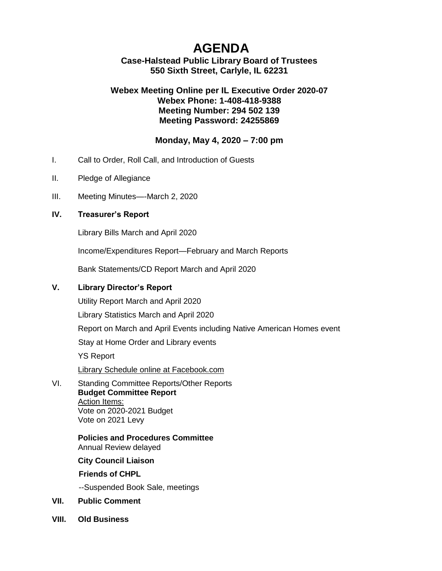# **AGENDA**

**Case-Halstead Public Library Board of Trustees 550 Sixth Street, Carlyle, IL 62231**

## **Webex Meeting Online per IL [Executive Order 2020-07](https://ila.us12.list-manage.com/track/click?u=6e70654dccbd86e15c572ad55&id=9dbd36cb1d&e=3c5b70de22) Webex Phone: 1-408-418-9388 Meeting Number: 294 502 139 Meeting Password: 24255869**

## **Monday, May 4, 2020 – 7:00 pm**

- I. Call to Order, Roll Call, and Introduction of Guests
- II. Pledge of Allegiance
- III. Meeting Minutes—-March 2, 2020

#### **IV. Treasurer's Report**

Library Bills March and April 2020

Income/Expenditures Report—February and March Reports

Bank Statements/CD Report March and April 2020

## **V. Library Director's Report**

Utility Report March and April 2020

Library Statistics March and April 2020

Report on March and April Events including Native American Homes event

Stay at Home Order and Library events

YS Report

Library Schedule online at Facebook.com

VI. Standing Committee Reports/Other Reports **Budget Committee Report** Action Items: Vote on 2020-2021 Budget Vote on 2021 Levy

> **Policies and Procedures Committee** Annual Review delayed

**City Council Liaison**

**Friends of CHPL**

--Suspended Book Sale, meetings

#### **VII. Public Comment**

**VIII. Old Business**